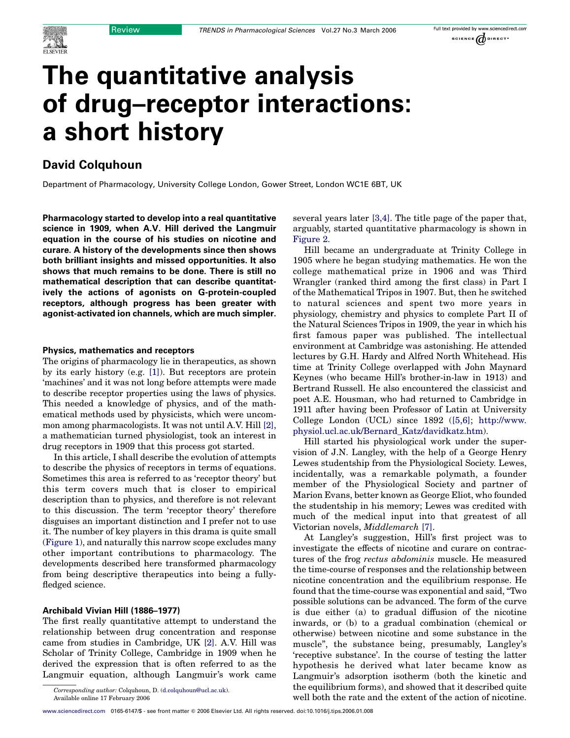

# The quantitative analysis of drug–receptor interactions: a short history

## David Colquhoun

Department of Pharmacology, University College London, Gower Street, London WC1E 6BT, UK

Pharmacology started to develop into a real quantitative science in 1909, when A.V. Hill derived the Langmuir equation in the course of his studies on nicotine and curare. A history of the developments since then shows both brilliant insights and missed opportunities. It also shows that much remains to be done. There is still no mathematical description that can describe quantitatively the actions of agonists on G-protein-coupled receptors, although progress has been greater with agonist-activated ion channels, which are much simpler.

#### Physics, mathematics and receptors

The origins of pharmacology lie in therapeutics, as shown by its early history (e.g. [\[1\]\)](#page-7-0). But receptors are protein 'machines' and it was not long before attempts were made to describe receptor properties using the laws of physics. This needed a knowledge of physics, and of the mathematical methods used by physicists, which were uncommon among pharmacologists. It was not until A.V. Hill [\[2\]](#page-7-0), a mathematician turned physiologist, took an interest in drug receptors in 1909 that this process got started.

In this article, I shall describe the evolution of attempts to describe the physics of receptors in terms of equations. Sometimes this area is referred to as 'receptor theory' but this term covers much that is closer to empirical description than to physics, and therefore is not relevant to this discussion. The term 'receptor theory' therefore disguises an important distinction and I prefer not to use it. The number of key players in this drama is quite small ([Figure 1](#page-1-0)), and naturally this narrow scope excludes many other important contributions to pharmacology. The developments described here transformed pharmacology from being descriptive therapeutics into being a fullyfledged science.

#### Archibald Vivian Hill (1886–1977)

The first really quantitative attempt to understand the relationship between drug concentration and response came from studies in Cambridge, UK [\[2\].](#page-7-0) A.V. Hill was Scholar of Trinity College, Cambridge in 1909 when he derived the expression that is often referred to as the Langmuir equation, although Langmuir's work came

Available online 17 February 2006

[www.sciencedirect.com](http://www.sciencedirect.com) 0165-6147/\$ - see front matter © 2006 Elsevier Ltd. All rights reserved. doi:10.1016/j.tips.2006.01.008

several years later [\[3,4\].](#page-7-0) The title page of the paper that, arguably, started quantitative pharmacology is shown in [Figure 2](#page-2-0).

Hill became an undergraduate at Trinity College in 1905 where he began studying mathematics. He won the college mathematical prize in 1906 and was Third Wrangler (ranked third among the first class) in Part I of the Mathematical Tripos in 1907. But, then he switched to natural sciences and spent two more years in physiology, chemistry and physics to complete Part II of the Natural Sciences Tripos in 1909, the year in which his first famous paper was published. The intellectual environment at Cambridge was astonishing. He attended lectures by G.H. Hardy and Alfred North Whitehead. His time at Trinity College overlapped with John Maynard Keynes (who became Hill's brother-in-law in 1913) and Bertrand Russell. He also encountered the classicist and poet A.E. Housman, who had returned to Cambridge in 1911 after having been Professor of Latin at University College London (UCL) since 1892 ([\[5,6\];](#page-7-0) [http://www.](http://www.physiol.ucl.ac.uk/Bernard_Katz/davidkatz.htm) [physiol.ucl.ac.uk/Bernard\\_Katz/davidkatz.htm\)](http://www.physiol.ucl.ac.uk/Bernard_Katz/davidkatz.htm).

Hill started his physiological work under the supervision of J.N. Langley, with the help of a George Henry Lewes studentship from the Physiological Society. Lewes, incidentally, was a remarkable polymath, a founder member of the Physiological Society and partner of Marion Evans, better known as George Eliot, who founded the studentship in his memory; Lewes was credited with much of the medical input into that greatest of all Victorian novels, Middlemarch [\[7\].](#page-7-0)

At Langley's suggestion, Hill's first project was to investigate the effects of nicotine and curare on contractures of the frog rectus abdominis muscle. He measured the time-course of responses and the relationship between nicotine concentration and the equilibrium response. He found that the time-course was exponential and said, "Two possible solutions can be advanced. The form of the curve is due either (a) to gradual diffusion of the nicotine inwards, or (b) to a gradual combination (chemical or otherwise) between nicotine and some substance in the muscle", the substance being, presumably, Langley's 'receptive substance'. In the course of testing the latter hypothesis he derived what later became know as Langmuir's adsorption isotherm (both the kinetic and the equilibrium forms), and showed that it described quite well both the rate and the extent of the action of nicotine.

Corresponding author: Colquhoun, D. ([d.colquhoun@ucl.ac.uk\)](mailto:d.colquhoun@ucl.ac.uk).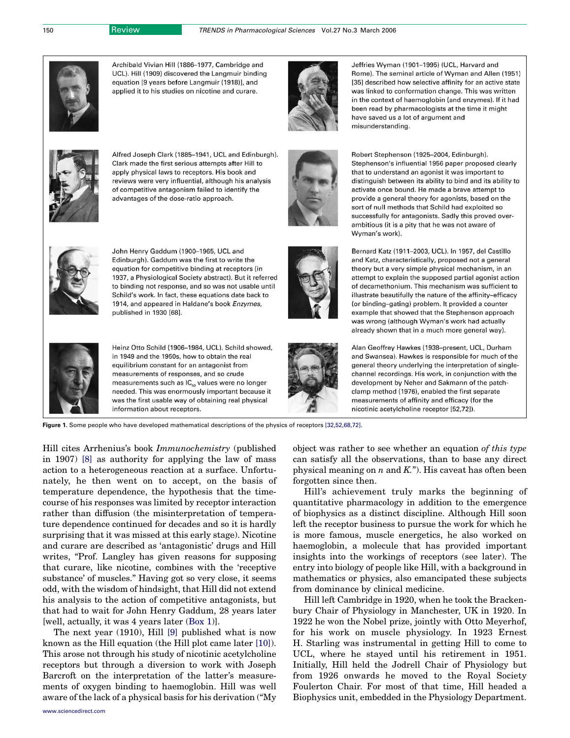<span id="page-1-0"></span>

Archibald Vivian Hill (1886-1977, Cambridge and UCL). Hill (1909) discovered the Langmuir binding equation [9 years before Langmuir (1918)], and applied it to his studies on nicotine and curare.



Alfred Joseph Clark (1885-1941, UCL and Edinburgh). Clark made the first serious attempts after Hill to apply physical laws to receptors. His book and reviews were very influential, although his analysis of competitive antagonism failed to identify the advantages of the dose-ratio approach.



John Henry Gaddum (1900-1965, UCL and Edinburgh). Gaddum was the first to write the equation for competitive binding at receptors (in 1937, a Physiological Society abstract). But it referred to binding not response, and so was not usable until Schild's work. In fact, these equations date back to 1914, and appeared in Haldane's book Enzymes, published in 1930 [68].



Heinz Otto Schild (1906-1984, UCL). Schild showed, in 1949 and the 1950s, how to obtain the real equilibrium constant for an antagonist from measurements of responses, and so crude measurements such as IC<sub>50</sub> values were no longer needed. This was enormously important because it was the first usable way of obtaining real physical information about receptors.



Jeffries Wyman (1901-1995) (UCL, Harvard and Rome). The seminal article of Wyman and Allen (1951) [35] described how selective affinity for an active state was linked to conformation change. This was written in the context of haemoglobin (and enzymes). If it had been read by pharmacologists at the time it might have saved us a lot of argument and misunderstanding.

Robert Stephenson (1925-2004, Edinburgh). Stephenson's influential 1956 paper proposed clearly that to understand an agonist it was important to distinguish between its ability to bind and its ability to activate once bound. He made a brave attempt to provide a general theory for agonists, based on the sort of null methods that Schild had exploited so successfully for antagonists. Sadly this proved overambitious (it is a pity that he was not aware of Wyman's work).

Bernard Katz (1911-2003, UCL). In 1957, del Castillo and Katz, characteristically, proposed not a general theory but a very simple physical mechanism, in an attempt to explain the supposed partial agonist action of decamethonium. This mechanism was sufficient to illustrate beautifully the nature of the affinity-efficacy (or binding-gating) problem. It provided a counter example that showed that the Stephenson approach was wrong (although Wyman's work had actually already shown that in a much more general way).

Alan Geoffrey Hawkes (1938-present, UCL, Durham and Swansea). Hawkes is responsible for much of the general theory underlying the interpretation of singlechannel recordings. His work, in conjunction with the development by Neher and Sakmann of the patchclamp method (1976), enabled the first separate measurements of affinity and efficacy (for the nicotinic acetylcholine receptor [52,72]).

Figure 1. Some people who have developed mathematical descriptions of the physics of receptors [\[32,52,68,72\].](#page-7-0)

Hill cites Arrhenius's book Immunochemistry (published in 1907) [\[8\]](#page-7-0) as authority for applying the law of mass action to a heterogeneous reaction at a surface. Unfortunately, he then went on to accept, on the basis of temperature dependence, the hypothesis that the timecourse of his responses was limited by receptor interaction rather than diffusion (the misinterpretation of temperature dependence continued for decades and so it is hardly surprising that it was missed at this early stage). Nicotine and curare are described as 'antagonistic' drugs and Hill writes, "Prof. Langley has given reasons for supposing that curare, like nicotine, combines with the 'receptive substance' of muscles." Having got so very close, it seems odd, with the wisdom of hindsight, that Hill did not extend his analysis to the action of competitive antagonists, but that had to wait for John Henry Gaddum, 28 years later [well, actually, it was 4 years later (Box 1)].

The next year (1910), Hill [\[9\]](#page-7-0) published what is now known as the Hill equation (the Hill plot came later [\[10\]](#page-7-0)). This arose not through his study of nicotinic acetylcholine receptors but through a diversion to work with Joseph Barcroft on the interpretation of the latter's measurements of oxygen binding to haemoglobin. Hill was well aware of the lack of a physical basis for his derivation ("My object was rather to see whether an equation of this type can satisfy all the observations, than to base any direct physical meaning on  $n$  and  $K$ ."). His caveat has often been forgotten since then.

Hill's achievement truly marks the beginning of quantitative pharmacology in addition to the emergence of biophysics as a distinct discipline. Although Hill soon left the receptor business to pursue the work for which he is more famous, muscle energetics, he also worked on haemoglobin, a molecule that has provided important insights into the workings of receptors (see later). The entry into biology of people like Hill, with a background in mathematics or physics, also emancipated these subjects from dominance by clinical medicine.

Hill left Cambridge in 1920, when he took the Brackenbury Chair of Physiology in Manchester, UK in 1920. In 1922 he won the Nobel prize, jointly with Otto Meyerhof, for his work on muscle physiology. In 1923 Ernest H. Starling was instrumental in getting Hill to come to UCL, where he stayed until his retirement in 1951. Initially, Hill held the Jodrell Chair of Physiology but from 1926 onwards he moved to the Royal Society Foulerton Chair. For most of that time, Hill headed a Biophysics unit, embedded in the Physiology Department.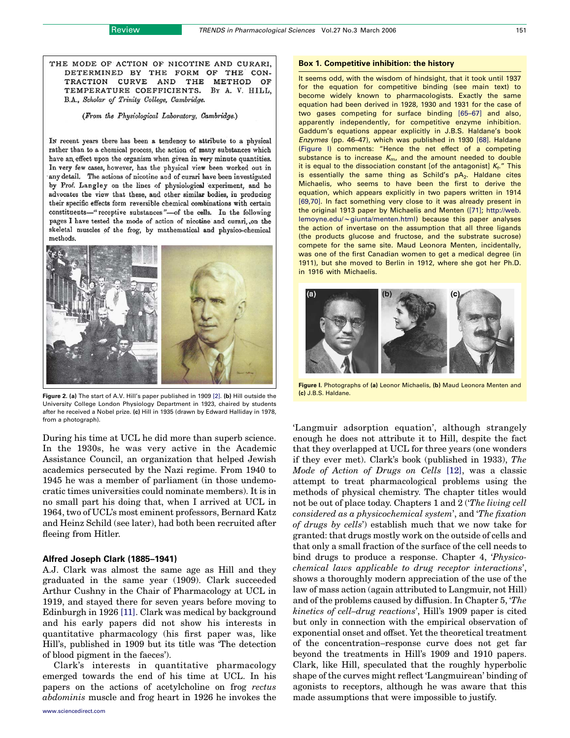<span id="page-2-0"></span>THE MODE OF ACTION OF NICOTINE AND CURARI, DETERMINED BY THE FORM OF THE CON-TRACTION CURVE AND THE METHOD OF TEMPERATURE COEFFICIENTS. BY A. V. HILL, B.A., Scholar of Trinity College, Cambridge.

(From the Physiological Laboratory, Cambridge.)

In recent years there has been a tendency to attribute to a physical rather than to a chemical process, the action of many substances which have an effect upon the organism when given in very minute quantities. In very few cases, however, has the physical view been worked out in any detail. The actions of nicotine and of curari have been investigated by Prof. Langley on the lines of physiological experiment, and he advocates the view that these, and other similar bodies, in producing their specific effects form reversible chemical combinations with certain constituents-" receptive substances"-of the cells. In the following pages I have tested the mode of action of nicotine and curari, on the skeletal muscles of the frog, by mathematical and physico-chemical methods.



Figure 2. (a) The start of A.V. Hill's paper published in 1909 [\[2\].](#page-7-0) (b) Hill outside the University College London Physiology Department in 1923, chaired by students after he received a Nobel prize. (c) Hill in 1935 (drawn by Edward Halliday in 1978, from a photograph).

During his time at UCL he did more than superb science. In the 1930s, he was very active in the Academic Assistance Council, an organization that helped Jewish academics persecuted by the Nazi regime. From 1940 to 1945 he was a member of parliament (in those undemocratic times universities could nominate members). It is in no small part his doing that, when I arrived at UCL in 1964, two of UCL's most eminent professors, Bernard Katz and Heinz Schild (see later), had both been recruited after fleeing from Hitler.

#### Alfred Joseph Clark (1885–1941)

A.J. Clark was almost the same age as Hill and they graduated in the same year (1909). Clark succeeded Arthur Cushny in the Chair of Pharmacology at UCL in 1919, and stayed there for seven years before moving to Edinburgh in 1926 [\[11\].](#page-7-0) Clark was medical by background and his early papers did not show his interests in quantitative pharmacology (his first paper was, like Hill's, published in 1909 but its title was 'The detection of blood pigment in the faeces').

Clark's interests in quantitative pharmacology emerged towards the end of his time at UCL. In his papers on the actions of acetylcholine on frog rectus abdominis muscle and frog heart in 1926 he invokes the

#### Box 1. Competitive inhibition: the history

It seems odd, with the wisdom of hindsight, that it took until 1937 for the equation for competitive binding (see main text) to become widely known to pharmacologists. Exactly the same equation had been derived in 1928, 1930 and 1931 for the case of two gases competing for surface binding [\[65–67\]](#page-8-0) and also, apparently independently, for competitive enzyme inhibition. Gaddum's equations appear explicitly in J.B.S. Haldane's book Enzymes (pp. 46–47), which was published in 1930 [\[68\]](#page-8-0). Haldane (Figure I) comments: "Hence the net effect of a competing substance is to increase  $K_{\text{m}}$ , and the amount needed to double it is equal to the dissociation constant [of the antagonist]  $K_f$ ." This is essentially the same thing as Schild's  $pA_2$ . Haldane cites Michaelis, who seems to have been the first to derive the equation, which appears explicitly in two papers written in 1914 [\[69,70\]](#page-8-0). In fact something very close to it was already present in the original 1913 paper by Michaelis and Menten [\(\[71\]](#page-8-0); [http://web.](http://web.lemoyne.edu/(giunta/menten.html)  $lemoyne.edu/\sim giunta/menten.html)$  $lemoyne.edu/\sim giunta/menten.html)$  because this paper analyses the action of invertase on the assumption that all three ligands (the products glucose and fructose, and the substrate sucrose) compete for the same site. Maud Leonora Menten, incidentally, was one of the first Canadian women to get a medical degree (in 1911), but she moved to Berlin in 1912, where she got her Ph.D. in 1916 with Michaelis.



Figure I. Photographs of (a) Leonor Michaelis, (b) Maud Leonora Menten and (c) J.B.S. Haldane.

'Langmuir adsorption equation', although strangely enough he does not attribute it to Hill, despite the fact that they overlapped at UCL for three years (one wonders if they ever met). Clark's book (published in 1933), The Mode of Action of Drugs on Cells [\[12\]](#page-7-0), was a classic attempt to treat pharmacological problems using the methods of physical chemistry. The chapter titles would not be out of place today. Chapters 1 and 2 ('The living cell considered as a physicochemical system', and 'The fixation of drugs by cells') establish much that we now take for granted: that drugs mostly work on the outside of cells and that only a small fraction of the surface of the cell needs to bind drugs to produce a response. Chapter 4, 'Physicochemical laws applicable to drug receptor interactions', shows a thoroughly modern appreciation of the use of the law of mass action (again attributed to Langmuir, not Hill) and of the problems caused by diffusion. In Chapter 5, 'The kinetics of cell–drug reactions', Hill's 1909 paper is cited but only in connection with the empirical observation of exponential onset and offset. Yet the theoretical treatment of the concentration–response curve does not get far beyond the treatments in Hill's 1909 and 1910 papers. Clark, like Hill, speculated that the roughly hyperbolic shape of the curves might reflect 'Langmuirean' binding of agonists to receptors, although he was aware that this made assumptions that were impossible to justify.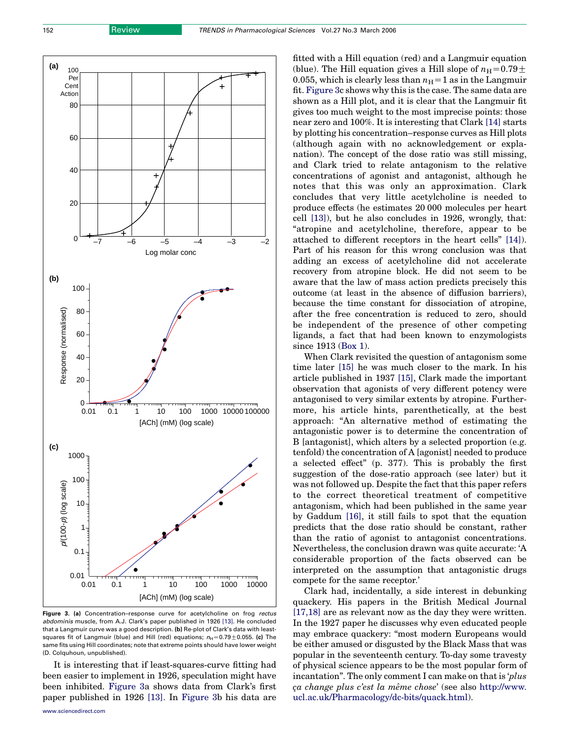

Figure 3. (a) Concentration-response curve for acetylcholine on frog rectus abdominis muscle, from A.J. Clark's paper published in 1926 [\[13\]](#page-7-0). He concluded that a Langmuir curve was a good description. (b) Re-plot of Clark's data with leastsquares fit of Langmuir (blue) and Hill (red) equations;  $n_H=0.79+0.055$ . (c) The same fits using Hill coordinates; note that extreme points should have lower weight (D. Colquhoun, unpublished).

It is interesting that if least-squares-curve fitting had been easier to implement in 1926, speculation might have been inhibited. Figure 3a shows data from Clark's first paper published in 1926 [\[13\]](#page-7-0). In Figure 3b his data are fitted with a Hill equation (red) and a Langmuir equation (blue). The Hill equation gives a Hill slope of  $n_H=0.79\pm$ 0.055, which is clearly less than  $n_H=1$  as in the Langmuir fit. Figure 3c shows why this is the case. The same data are shown as a Hill plot, and it is clear that the Langmuir fit gives too much weight to the most imprecise points: those near zero and 100%. It is interesting that Clark [\[14\]](#page-7-0) starts by plotting his concentration–response curves as Hill plots (although again with no acknowledgement or explanation). The concept of the dose ratio was still missing, and Clark tried to relate antagonism to the relative concentrations of agonist and antagonist, although he notes that this was only an approximation. Clark concludes that very little acetylcholine is needed to produce effects (he estimates 20 000 molecules per heart cell [\[13\]\)](#page-7-0), but he also concludes in 1926, wrongly, that: "atropine and acetylcholine, therefore, appear to be attached to different receptors in the heart cells" [\[14\]](#page-7-0)). Part of his reason for this wrong conclusion was that adding an excess of acetylcholine did not accelerate recovery from atropine block. He did not seem to be aware that the law of mass action predicts precisely this outcome (at least in the absence of diffusion barriers), because the time constant for dissociation of atropine, after the free concentration is reduced to zero, should be independent of the presence of other competing ligands, a fact that had been known to enzymologists since 1913 (Box 1).

When Clark revisited the question of antagonism some time later [\[15\]](#page-7-0) he was much closer to the mark. In his article published in 1937 [\[15\]](#page-7-0), Clark made the important observation that agonists of very different potency were antagonised to very similar extents by atropine. Furthermore, his article hints, parenthetically, at the best approach: "An alternative method of estimating the antagonistic power is to determine the concentration of B [antagonist], which alters by a selected proportion (e.g. tenfold) the concentration of A [agonist] needed to produce a selected effect" (p. 377). This is probably the first suggestion of the dose-ratio approach (see later) but it was not followed up. Despite the fact that this paper refers to the correct theoretical treatment of competitive antagonism, which had been published in the same year by Gaddum [\[16\]](#page-7-0), it still fails to spot that the equation predicts that the dose ratio should be constant, rather than the ratio of agonist to antagonist concentrations. Nevertheless, the conclusion drawn was quite accurate: 'A considerable proportion of the facts observed can be interpreted on the assumption that antagonistic drugs compete for the same receptor.'

Clark had, incidentally, a side interest in debunking quackery. His papers in the British Medical Journal [\[17,18\]](#page-7-0) are as relevant now as the day they were written. In the 1927 paper he discusses why even educated people may embrace quackery: "most modern Europeans would be either amused or disgusted by the Black Mass that was popular in the seventeenth century. To-day some travesty of physical science appears to be the most popular form of incantation". The only comment I can make on that is 'plus ca change plus c'est la même chose' (see also [http://www.](http://www.ucl.ac.uk/Pharmacology/dc-bits/quack.html) [ucl.ac.uk/Pharmacology/dc-bits/quack.html\)](http://www.ucl.ac.uk/Pharmacology/dc-bits/quack.html).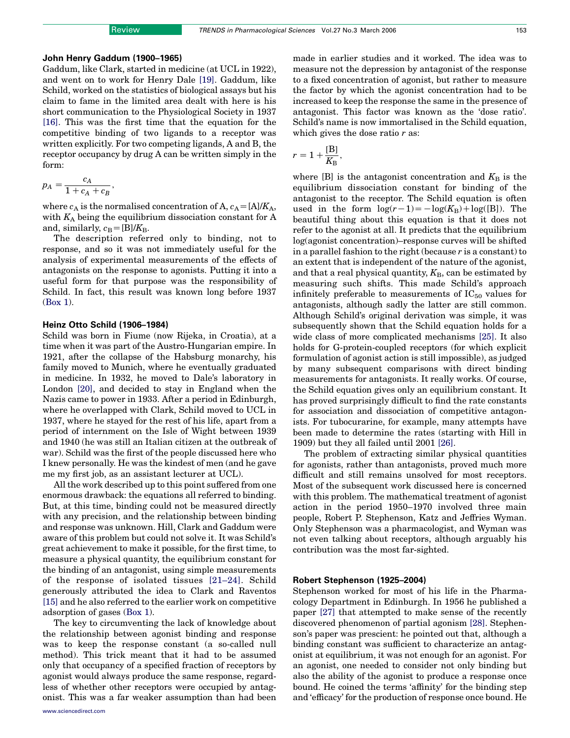#### John Henry Gaddum (1900–1965)

Gaddum, like Clark, started in medicine (at UCL in 1922), and went on to work for Henry Dale [\[19\]](#page-7-0). Gaddum, like Schild, worked on the statistics of biological assays but his claim to fame in the limited area dealt with here is his short communication to the Physiological Society in 1937 [\[16\].](#page-7-0) This was the first time that the equation for the competitive binding of two ligands to a receptor was written explicitly. For two competing ligands, A and B, the receptor occupancy by drug A can be written simply in the form:

$$
p_A = \frac{c_A}{1+c_A+c_B},
$$

where  $c_A$  is the normalised concentration of A,  $c_A=[A]/K_A$ , with  $K_A$  being the equilibrium dissociation constant for A and, similarly,  $c_B=[B]/K_B$ .

The description referred only to binding, not to response, and so it was not immediately useful for the analysis of experimental measurements of the effects of antagonists on the response to agonists. Putting it into a useful form for that purpose was the responsibility of Schild. In fact, this result was known long before 1937 (Box 1).

#### Heinz Otto Schild (1906–1984)

Schild was born in Fiume (now Rijeka, in Croatia), at a time when it was part of the Austro-Hungarian empire. In 1921, after the collapse of the Habsburg monarchy, his family moved to Munich, where he eventually graduated in medicine. In 1932, he moved to Dale's laboratory in London [\[20\],](#page-7-0) and decided to stay in England when the Nazis came to power in 1933. After a period in Edinburgh, where he overlapped with Clark, Schild moved to UCL in 1937, where he stayed for the rest of his life, apart from a period of internment on the Isle of Wight between 1939 and 1940 (he was still an Italian citizen at the outbreak of war). Schild was the first of the people discussed here who I knew personally. He was the kindest of men (and he gave me my first job, as an assistant lecturer at UCL).

All the work described up to this point suffered from one enormous drawback: the equations all referred to binding. But, at this time, binding could not be measured directly with any precision, and the relationship between binding and response was unknown. Hill, Clark and Gaddum were aware of this problem but could not solve it. It was Schild's great achievement to make it possible, for the first time, to measure a physical quantity, the equilibrium constant for the binding of an antagonist, using simple measurements of the response of isolated tissues [\[21–24\].](#page-7-0) Schild generously attributed the idea to Clark and Raventos [\[15\]](#page-7-0) and he also referred to the earlier work on competitive adsorption of gases (Box 1).

The key to circumventing the lack of knowledge about the relationship between agonist binding and response was to keep the response constant (a so-called null method). This trick meant that it had to be assumed only that occupancy of a specified fraction of receptors by agonist would always produce the same response, regardless of whether other receptors were occupied by antagonist. This was a far weaker assumption than had been made in earlier studies and it worked. The idea was to measure not the depression by antagonist of the response to a fixed concentration of agonist, but rather to measure the factor by which the agonist concentration had to be increased to keep the response the same in the presence of antagonist. This factor was known as the 'dose ratio'. Schild's name is now immortalised in the Schild equation, which gives the dose ratio  $r$  as:

$$
r=1+\frac{[B]}{K_{\mathrm{B}}},
$$

where  $[B]$  is the antagonist concentration and  $K_B$  is the equilibrium dissociation constant for binding of the antagonist to the receptor. The Schild equation is often used in the form  $log(r-1)=-log(K_{\rm B})+log([B])$ . The beautiful thing about this equation is that it does not refer to the agonist at all. It predicts that the equilibrium log(agonist concentration)–response curves will be shifted in a parallel fashion to the right (because  $r$  is a constant) to an extent that is independent of the nature of the agonist, and that a real physical quantity,  $K_{\text{B}}$ , can be estimated by measuring such shifts. This made Schild's approach infinitely preferable to measurements of  $IC_{50}$  values for antagonists, although sadly the latter are still common. Although Schild's original derivation was simple, it was subsequently shown that the Schild equation holds for a wide class of more complicated mechanisms [\[25\]](#page-7-0). It also holds for G-protein-coupled receptors (for which explicit formulation of agonist action is still impossible), as judged by many subsequent comparisons with direct binding measurements for antagonists. It really works. Of course, the Schild equation gives only an equilibrium constant. It has proved surprisingly difficult to find the rate constants for association and dissociation of competitive antagonists. For tubocurarine, for example, many attempts have been made to determine the rates (starting with Hill in 1909) but they all failed until 2001 [\[26\]](#page-7-0).

The problem of extracting similar physical quantities for agonists, rather than antagonists, proved much more difficult and still remains unsolved for most receptors. Most of the subsequent work discussed here is concerned with this problem. The mathematical treatment of agonist action in the period 1950–1970 involved three main people, Robert P. Stephenson, Katz and Jeffries Wyman. Only Stephenson was a pharmacologist, and Wyman was not even talking about receptors, although arguably his contribution was the most far-sighted.

#### Robert Stephenson (1925–2004)

Stephenson worked for most of his life in the Pharmacology Department in Edinburgh. In 1956 he published a paper [\[27\]](#page-7-0) that attempted to make sense of the recently discovered phenomenon of partial agonism [\[28\]](#page-7-0). Stephenson's paper was prescient: he pointed out that, although a binding constant was sufficient to characterize an antagonist at equilibrium, it was not enough for an agonist. For an agonist, one needed to consider not only binding but also the ability of the agonist to produce a response once bound. He coined the terms 'affinity' for the binding step and 'efficacy' for the production of response once bound. He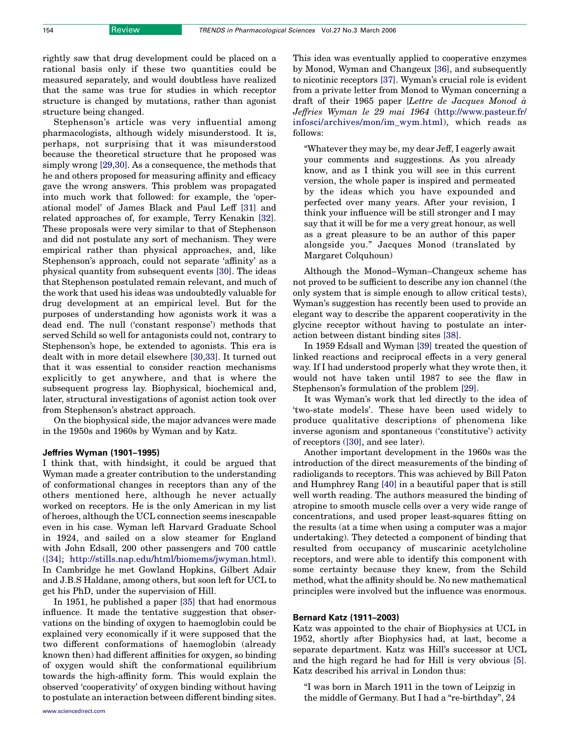rightly saw that drug development could be placed on a rational basis only if these two quantities could be measured separately, and would doubtless have realized that the same was true for studies in which receptor structure is changed by mutations, rather than agonist structure being changed.

Stephenson's article was very influential among pharmacologists, although widely misunderstood. It is, perhaps, not surprising that it was misunderstood because the theoretical structure that he proposed was simply wrong [\[29,30\].](#page-7-0) As a consequence, the methods that he and others proposed for measuring affinity and efficacy gave the wrong answers. This problem was propagated into much work that followed: for example, the 'operational model' of James Black and Paul Leff [\[31\]](#page-7-0) and related approaches of, for example, Terry Kenakin [\[32\]](#page-7-0). These proposals were very similar to that of Stephenson and did not postulate any sort of mechanism. They were empirical rather than physical approaches, and, like Stephenson's approach, could not separate 'affinity' as a physical quantity from subsequent events [\[30\].](#page-7-0) The ideas that Stephenson postulated remain relevant, and much of the work that used his ideas was undoubtedly valuable for drug development at an empirical level. But for the purposes of understanding how agonists work it was a dead end. The null ('constant response') methods that served Schild so well for antagonists could not, contrary to Stephenson's hope, be extended to agonists. This era is dealt with in more detail elsewhere [\[30,33\]](#page-7-0). It turned out that it was essential to consider reaction mechanisms explicitly to get anywhere, and that is where the subsequent progress lay. Biophysical, biochemical and, later, structural investigations of agonist action took over from Stephenson's abstract approach.

On the biophysical side, the major advances were made in the 1950s and 1960s by Wyman and by Katz.

#### Jeffries Wyman (1901–1995)

I think that, with hindsight, it could be argued that Wyman made a greater contribution to the understanding of conformational changes in receptors than any of the others mentioned here, although he never actually worked on receptors. He is the only American in my list of heroes, although the UCL connection seems inescapable even in his case. Wyman left Harvard Graduate School in 1924, and sailed on a slow steamer for England with John Edsall, 200 other passengers and 700 cattle ([\[34\]](#page-7-0); [http://stills.nap.edu/html/biomems/jwyman.html\)](http://stills.nap.edu/html/biomems/jwyman.html). In Cambridge he met Gowland Hopkins, Gilbert Adair and J.B.S Haldane, among others, but soon left for UCL to get his PhD, under the supervision of Hill.

In 1951, he published a paper [\[35\]](#page-7-0) that had enormous influence. It made the tentative suggestion that observations on the binding of oxygen to haemoglobin could be explained very economically if it were supposed that the two different conformations of haemoglobin (already known then) had different affinities for oxygen, so binding of oxygen would shift the conformational equilibrium towards the high-affinity form. This would explain the observed 'cooperativity' of oxygen binding without having to postulate an interaction between different binding sites. This idea was eventually applied to cooperative enzymes by Monod, Wyman and Changeux [\[36\]](#page-7-0), and subsequently to nicotinic receptors [\[37\]](#page-8-0). Wyman's crucial role is evident from a private letter from Monod to Wyman concerning a draft of their 1965 paper [Lettre de Jacques Monod  $\dot{a}$ ] Jeffries Wyman le 29 mai 1964 ([http://www.pasteur.fr/](http://www.pasteur.fr/infosci/archives/mon/im_wym.html) [infosci/archives/mon/im\\_wym.html](http://www.pasteur.fr/infosci/archives/mon/im_wym.html)), which reads as follows:

"Whatever they may be, my dear Jeff, I eagerly await your comments and suggestions. As you already know, and as I think you will see in this current version, the whole paper is inspired and permeated by the ideas which you have expounded and perfected over many years. After your revision, I think your influence will be still stronger and I may say that it will be for me a very great honour, as well as a great pleasure to be an author of this paper alongside you." Jacques Monod (translated by Margaret Colquhoun)

Although the Monod–Wyman–Changeux scheme has not proved to be sufficient to describe any ion channel (the only system that is simple enough to allow critical tests), Wyman's suggestion has recently been used to provide an elegant way to describe the apparent cooperativity in the glycine receptor without having to postulate an interaction between distant binding sites [\[38\].](#page-8-0)

In 1959 Edsall and Wyman [\[39\]](#page-8-0) treated the question of linked reactions and reciprocal effects in a very general way. If I had understood properly what they wrote then, it would not have taken until 1987 to see the flaw in Stephenson's formulation of the problem [\[29\]](#page-7-0).

It was Wyman's work that led directly to the idea of 'two-state models'. These have been used widely to produce qualitative descriptions of phenomena like inverse agonism and spontaneous ('constitutive') activity of receptors ([\[30\],](#page-7-0) and see later).

Another important development in the 1960s was the introduction of the direct measurements of the binding of radioligands to receptors. This was achieved by Bill Paton and Humphrey Rang [\[40\]](#page-8-0) in a beautiful paper that is still well worth reading. The authors measured the binding of atropine to smooth muscle cells over a very wide range of concentrations, and used proper least-squares fitting on the results (at a time when using a computer was a major undertaking). They detected a component of binding that resulted from occupancy of muscarinic acetylcholine receptors, and were able to identify this component with some certainty because they knew, from the Schild method, what the affinity should be. No new mathematical principles were involved but the influence was enormous.

#### Bernard Katz (1911–2003)

Katz was appointed to the chair of Biophysics at UCL in 1952, shortly after Biophysics had, at last, become a separate department. Katz was Hill's successor at UCL and the high regard he had for Hill is very obvious [\[5\]](#page-7-0). Katz described his arrival in London thus:

"I was born in March 1911 in the town of Leipzig in the middle of Germany. But I had a "re-birthday", 24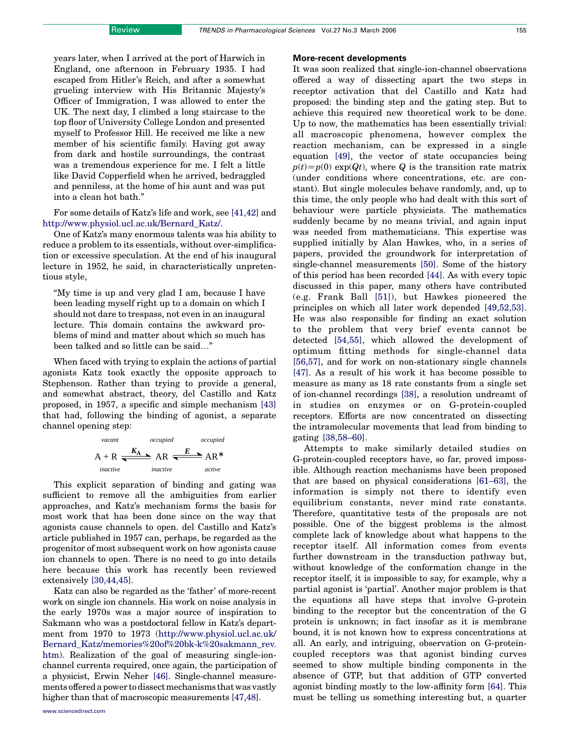years later, when I arrived at the port of Harwich in England, one afternoon in February 1935. I had escaped from Hitler's Reich, and after a somewhat grueling interview with His Britannic Majesty's Officer of Immigration, I was allowed to enter the UK. The next day, I climbed a long staircase to the top floor of University College London and presented myself to Professor Hill. He received me like a new member of his scientific family. Having got away from dark and hostile surroundings, the contrast was a tremendous experience for me. I felt a little like David Copperfield when he arrived, bedraggled and penniless, at the home of his aunt and was put into a clean hot bath."

For some details of Katz's life and work, see [\[41,42\]](#page-8-0) and [http://www.physiol.ucl.ac.uk/Bernard\\_Katz/.](http://www.physiol.ucl.ac.uk/Bernard_Katz/)

One of Katz's many enormous talents was his ability to reduce a problem to its essentials, without over-simplification or excessive speculation. At the end of his inaugural lecture in 1952, he said, in characteristically unpretentious style,

"My time is up and very glad I am, because I have been leading myself right up to a domain on which I should not dare to trespass, not even in an inaugural lecture. This domain contains the awkward problems of mind and matter about which so much has been talked and so little can be said..."

When faced with trying to explain the actions of partial agonists Katz took exactly the opposite approach to Stephenson. Rather than trying to provide a general, and somewhat abstract, theory, del Castillo and Katz proposed, in 1957, a specific and simple mechanism [\[43\]](#page-8-0) that had, following the binding of agonist, a separate channel opening step:

$$
A + R \xrightarrow{Ccuplied \quad occupied \quad occupied \quad}
$$
  
A + R \xrightarrow{K<sub>A</sub> A R \xrightarrow{E} AR^\* A R^\*   
inactive \quad active \quad active

This explicit separation of binding and gating was sufficient to remove all the ambiguities from earlier approaches, and Katz's mechanism forms the basis for most work that has been done since on the way that agonists cause channels to open. del Castillo and Katz's article published in 1957 can, perhaps, be regarded as the progenitor of most subsequent work on how agonists cause ion channels to open. There is no need to go into details here because this work has recently been reviewed extensively [\[30,44,45\].](#page-7-0)

Katz can also be regarded as the 'father' of more-recent work on single ion channels. His work on noise analysis in the early 1970s was a major source of inspiration to Sakmann who was a postdoctoral fellow in Katz's department from 1970 to 1973 [\(http://www.physiol.ucl.ac.uk/](http://www.physiol.ucl.ac.uk/Bernard_Katz/memories%20of%20bk-k%20sakmann_rev.htm) [Bernard\\_Katz/memories%20of%20bk-k%20sakmann\\_rev.](http://www.physiol.ucl.ac.uk/Bernard_Katz/memories%20of%20bk-k%20sakmann_rev.htm) [htm\)](http://www.physiol.ucl.ac.uk/Bernard_Katz/memories%20of%20bk-k%20sakmann_rev.htm). Realization of the goal of measuring single-ionchannel currents required, once again, the participation of a physicist, Erwin Neher [\[46\].](#page-8-0) Single-channel measurements offered a power todissectmechanisms that was vastly higher than that of macroscopic measurements [\[47,48\].](#page-8-0)

#### More-recent developments

It was soon realized that single-ion-channel observations offered a way of dissecting apart the two steps in receptor activation that del Castillo and Katz had proposed: the binding step and the gating step. But to achieve this required new theoretical work to be done. Up to now, the mathematics has been essentially trivial: all macroscopic phenomena, however complex the reaction mechanism, can be expressed in a single equation [\[49\]](#page-8-0), the vector of state occupancies being  $p(t)=p(0) \exp(Qt)$ , where Q is the transition rate matrix (under conditions where concentrations, etc. are constant). But single molecules behave randomly, and, up to this time, the only people who had dealt with this sort of behaviour were particle physicists. The mathematics suddenly became by no means trivial, and again input was needed from mathematicians. This expertise was supplied initially by Alan Hawkes, who, in a series of papers, provided the groundwork for interpretation of single-channel measurements [\[50\].](#page-8-0) Some of the history of this period has been recorded [\[44\]](#page-8-0). As with every topic discussed in this paper, many others have contributed (e.g. Frank Ball [\[51\]](#page-8-0)), but Hawkes pioneered the principles on which all later work depended [\[49,52,53\]](#page-8-0). He was also responsible for finding an exact solution to the problem that very brief events cannot be detected [\[54,55\]](#page-8-0), which allowed the development of optimum fitting methods for single-channel data [\[56,57\],](#page-8-0) and for work on non-stationary single channels [\[47\].](#page-8-0) As a result of his work it has become possible to measure as many as 18 rate constants from a single set of ion-channel recordings [\[38\],](#page-8-0) a resolution undreamt of in studies on enzymes or on G-protein-coupled receptors. Efforts are now concentrated on dissecting the intramolecular movements that lead from binding to gating [\[38,58–60\]](#page-8-0).

Attempts to make similarly detailed studies on G-protein-coupled receptors have, so far, proved impossible. Although reaction mechanisms have been proposed that are based on physical considerations [\[61–63\]](#page-8-0), the information is simply not there to identify even equilibrium constants, never mind rate constants. Therefore, quantitative tests of the proposals are not possible. One of the biggest problems is the almost complete lack of knowledge about what happens to the receptor itself. All information comes from events further downstream in the transduction pathway but, without knowledge of the conformation change in the receptor itself, it is impossible to say, for example, why a partial agonist is 'partial'. Another major problem is that the equations all have steps that involve G-protein binding to the receptor but the concentration of the G protein is unknown; in fact insofar as it is membrane bound, it is not known how to express concentrations at all. An early, and intriguing, observation on G-proteincoupled receptors was that agonist binding curves seemed to show multiple binding components in the absence of GTP, but that addition of GTP converted agonist binding mostly to the low-affinity form [\[64\].](#page-8-0) This must be telling us something interesting but, a quarter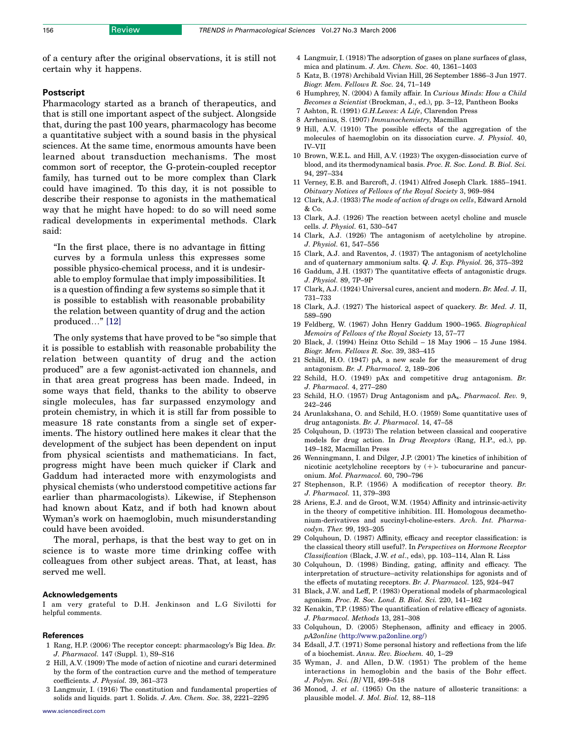<span id="page-7-0"></span>of a century after the original observations, it is still not certain why it happens.

#### Postscript

Pharmacology started as a branch of therapeutics, and that is still one important aspect of the subject. Alongside that, during the past 100 years, pharmacology has become a quantitative subject with a sound basis in the physical sciences. At the same time, enormous amounts have been learned about transduction mechanisms. The most common sort of receptor, the G-protein-coupled receptor family, has turned out to be more complex than Clark could have imagined. To this day, it is not possible to describe their response to agonists in the mathematical way that he might have hoped: to do so will need some radical developments in experimental methods. Clark said:

"In the first place, there is no advantage in fitting curves by a formula unless this expresses some possible physico-chemical process, and it is undesirable to employ formulae that imply impossibilities. It is a question of finding a few systems so simple that it is possible to establish with reasonable probability the relation between quantity of drug and the action produced..."  $[12]$ 

The only systems that have proved to be "so simple that it is possible to establish with reasonable probability the relation between quantity of drug and the action produced" are a few agonist-activated ion channels, and in that area great progress has been made. Indeed, in some ways that field, thanks to the ability to observe single molecules, has far surpassed enzymology and protein chemistry, in which it is still far from possible to measure 18 rate constants from a single set of experiments. The history outlined here makes it clear that the development of the subject has been dependent on input from physical scientists and mathematicians. In fact, progress might have been much quicker if Clark and Gaddum had interacted more with enzymologists and physical chemists (who understood competitive actions far earlier than pharmacologists). Likewise, if Stephenson had known about Katz, and if both had known about Wyman's work on haemoglobin, much misunderstanding could have been avoided.

The moral, perhaps, is that the best way to get on in science is to waste more time drinking coffee with colleagues from other subject areas. That, at least, has served me well.

#### Acknowledgements

I am very grateful to D.H. Jenkinson and L.G Sivilotti for helpful comments.

#### References

- 1 Rang, H.P. (2006) The receptor concept: pharmacology's Big Idea.  $Br$ J. Pharmacol. 147 (Suppl. 1), S9–S16
- 2 Hill, A.V. (1909) The mode of action of nicotine and curari determined by the form of the contraction curve and the method of temperature coefficients. J. Physiol. 39, 361–373
- 3 Langmuir, I. (1916) The constitution and fundamental properties of solids and liquids. part 1. Solids. J. Am. Chem. Soc. 38, 2221–2295
- 5 Katz, B. (1978) Archibald Vivian Hill, 26 September 1886–3 Jun 1977. Biogr. Mem. Fellows R. Soc. 24, 71–149
- 6 Humphrey, N. (2004) A family affair. In Curious Minds: How a Child Becomes a Scientist (Brockman, J., ed.), pp. 3–12, Pantheon Books
- 7 Ashton, R. (1991) G.H.Lewes: A Life, Clarendon Press
- 8 Arrhenius, S. (1907) Immunochemistry, Macmillan
- 9 Hill, A.V. (1910) The possible effects of the aggregation of the molecules of haemoglobin on its dissociation curve. J. Physiol. 40, IV–VII
- 10 Brown, W.E.L. and Hill, A.V. (1923) The oxygen-dissociation curve of blood, and its thermodynamical basis. Proc. R. Soc. Lond. B. Biol. Sci. 94, 297–334
- 11 Verney, E.B. and Barcroft, J. (1941) Alfred Joseph Clark. 1885–1941. Obituary Notices of Fellows of the Royal Society 3, 969–984
- 12 Clark, A.J. (1933) The mode of action of drugs on cells, Edward Arnold  $& Co.$
- 13 Clark, A.J. (1926) The reaction between acetyl choline and muscle cells. J. Physiol. 61, 530–547
- 14 Clark, A.J. (1926) The antagonism of acetylcholine by atropine. J. Physiol. 61, 547–556
- 15 Clark, A.J. and Raventos, J. (1937) The antagonism of acetylcholine and of quaternary ammonium salts. Q. J. Exp. Physiol. 26, 375–392
- 16 Gaddum, J.H. (1937) The quantitative effects of antagonistic drugs. J. Physiol. 89, 7P–9P
- 17 Clark, A.J. (1924) Universal cures, ancient and modern. Br. Med. J. II, 731–733
- 18 Clark, A.J. (1927) The historical aspect of quackery. Br. Med. J. II, 589–590
- 19 Feldberg, W. (1967) John Henry Gaddum 1900–1965. Biographical Memoirs of Fellows of the Royal Society 13, 57–77
- 20 Black, J. (1994) Heinz Otto Schild 18 May 1906 15 June 1984. Biogr. Mem. Fellows R. Soc. 39, 383–415
- 21 Schild, H.O. (1947) pA, a new scale for the measurement of drug antagonism. Br. J. Pharmacol. 2, 189–206
- 22 Schild, H.O. (1949) pAx and competitive drug antagonism. Br. J. Pharmacol. 4, 277–280
- 23 Schild, H.O. (1957) Drug Antagonism and  $pA_x$ . *Pharmacol. Rev.* 9, 242–246
- 24 Arunlakshana, O. and Schild, H.O. (1959) Some quantitative uses of drug antagonists. Br. J. Pharmacol. 14, 47–58
- 25 Colquhoun, D. (1973) The relation between classical and cooperative models for drug action. In Drug Receptors (Rang, H.P., ed.), pp. 149–182, Macmillan Press
- 26 Wenningmann, I. and Dilger, J.P. (2001) The kinetics of inhibition of nicotinic acetylcholine receptors by  $(+)$ - tubocurarine and pancuronium. Mol. Pharmacol. 60, 790–796
- 27 Stephenson, R.P. (1956) A modification of receptor theory. Br. J. Pharmacol. 11, 379–393
- 28 Ariens, E.J. and de Groot, W.M. (1954) Affinity and intrinsic-activity in the theory of competitive inhibition. III. Homologous decamethonium-derivatives and succinyl-choline-esters. Arch. Int. Pharmacodyn. Ther. 99, 193–205
- 29 Colquhoun, D. (1987) Affinity, efficacy and receptor classification: is the classical theory still useful?. In Perspectives on Hormone Receptor Classification (Black, J.W. et al., eds), pp. 103–114, Alan R. Liss
- 30 Colquhoun, D. (1998) Binding, gating, affinity and efficacy. The interpretation of structure–activity relationships for agonists and of the effects of mutating receptors. Br. J. Pharmacol. 125, 924–947
- 31 Black, J.W. and Leff, P. (1983) Operational models of pharmacological agonism. Proc. R. Soc. Lond. B. Biol. Sci. 220, 141–162
- 32 Kenakin, T.P. (1985) The quantification of relative efficacy of agonists. J. Pharmacol. Methods 13, 281–308
- 33 Colquhoun, D. (2005) Stephenson, affinity and efficacy in 2005. pA2online (<http://www.pa2online.org/>)
- 34 Edsall, J.T. (1971) Some personal history and reflections from the life of a biochemist. Annu. Rev. Biochem. 40, 1–29
- 35 Wyman, J. and Allen, D.W. (1951) The problem of the heme interactions in hemoglobin and the basis of the Bohr effect. J. Polym. Sci. [B] VII, 499–518
- 36 Monod, J. et al. (1965) On the nature of allosteric transitions: a plausible model. J. Mol. Biol. 12, 88–118